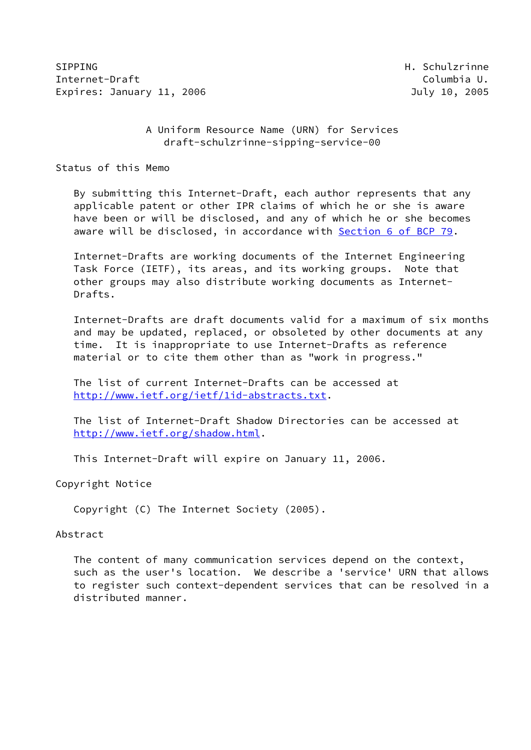SIPPING **H. Schulzrinne** Internet-Draft **Columbia U.** The Columbia U. Expires: January 11, 2006 **Galacter Contract Contract Contract Contract Contract Contract Contract Contract Contr** 

# A Uniform Resource Name (URN) for Services draft-schulzrinne-sipping-service-00

Status of this Memo

 By submitting this Internet-Draft, each author represents that any applicable patent or other IPR claims of which he or she is aware have been or will be disclosed, and any of which he or she becomes aware will be disclosed, in accordance with Section [6 of BCP 79.](https://datatracker.ietf.org/doc/pdf/bcp79#section-6)

 Internet-Drafts are working documents of the Internet Engineering Task Force (IETF), its areas, and its working groups. Note that other groups may also distribute working documents as Internet- Drafts.

 Internet-Drafts are draft documents valid for a maximum of six months and may be updated, replaced, or obsoleted by other documents at any time. It is inappropriate to use Internet-Drafts as reference material or to cite them other than as "work in progress."

 The list of current Internet-Drafts can be accessed at <http://www.ietf.org/ietf/1id-abstracts.txt>.

 The list of Internet-Draft Shadow Directories can be accessed at <http://www.ietf.org/shadow.html>.

This Internet-Draft will expire on January 11, 2006.

Copyright Notice

Copyright (C) The Internet Society (2005).

## Abstract

 The content of many communication services depend on the context, such as the user's location. We describe a 'service' URN that allows to register such context-dependent services that can be resolved in a distributed manner.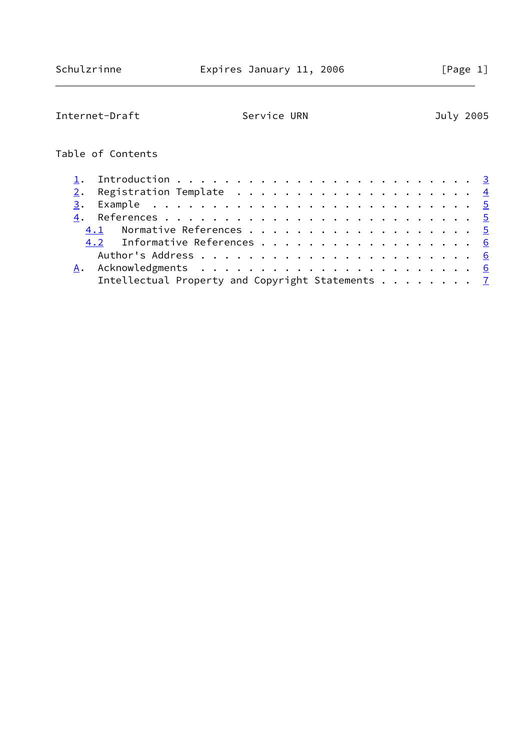| Internet-Draft                                   | Service URN |  |  |  |  |  |  |  | July 2005 |  |
|--------------------------------------------------|-------------|--|--|--|--|--|--|--|-----------|--|
| Table of Contents                                |             |  |  |  |  |  |  |  |           |  |
|                                                  |             |  |  |  |  |  |  |  |           |  |
| 2.                                               |             |  |  |  |  |  |  |  |           |  |
| 3.                                               |             |  |  |  |  |  |  |  |           |  |
| 4.                                               |             |  |  |  |  |  |  |  |           |  |
| 4.1 Normative References 5                       |             |  |  |  |  |  |  |  |           |  |
| 4.2 Informative References 6                     |             |  |  |  |  |  |  |  |           |  |
|                                                  |             |  |  |  |  |  |  |  |           |  |
| Α.                                               |             |  |  |  |  |  |  |  |           |  |
| Intellectual Property and Copyright Statements 7 |             |  |  |  |  |  |  |  |           |  |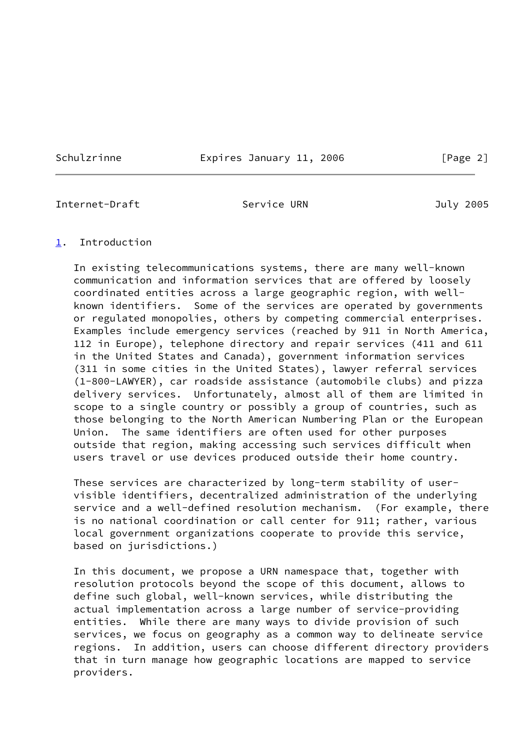Schulzrinne **Expires January 11, 2006** [Page 2]

<span id="page-2-1"></span>Internet-Draft Service URN July 2005

## <span id="page-2-0"></span>[1](#page-2-0). Introduction

 In existing telecommunications systems, there are many well-known communication and information services that are offered by loosely coordinated entities across a large geographic region, with well known identifiers. Some of the services are operated by governments or regulated monopolies, others by competing commercial enterprises. Examples include emergency services (reached by 911 in North America, 112 in Europe), telephone directory and repair services (411 and 611 in the United States and Canada), government information services (311 in some cities in the United States), lawyer referral services (1-800-LAWYER), car roadside assistance (automobile clubs) and pizza delivery services. Unfortunately, almost all of them are limited in scope to a single country or possibly a group of countries, such as those belonging to the North American Numbering Plan or the European Union. The same identifiers are often used for other purposes outside that region, making accessing such services difficult when users travel or use devices produced outside their home country.

 These services are characterized by long-term stability of user visible identifiers, decentralized administration of the underlying service and a well-defined resolution mechanism. (For example, there is no national coordination or call center for 911; rather, various local government organizations cooperate to provide this service, based on jurisdictions.)

 In this document, we propose a URN namespace that, together with resolution protocols beyond the scope of this document, allows to define such global, well-known services, while distributing the actual implementation across a large number of service-providing entities. While there are many ways to divide provision of such services, we focus on geography as a common way to delineate service regions. In addition, users can choose different directory providers that in turn manage how geographic locations are mapped to service providers.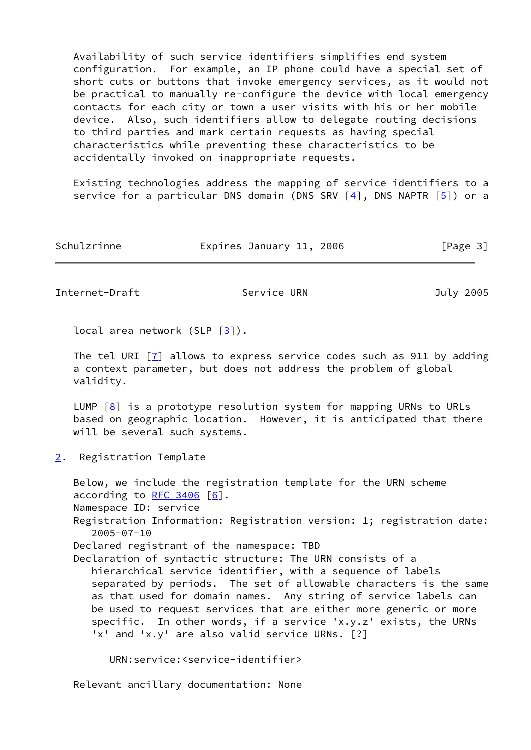Availability of such service identifiers simplifies end system configuration. For example, an IP phone could have a special set of short cuts or buttons that invoke emergency services, as it would not be practical to manually re-configure the device with local emergency contacts for each city or town a user visits with his or her mobile device. Also, such identifiers allow to delegate routing decisions to third parties and mark certain requests as having special characteristics while preventing these characteristics to be accidentally invoked on inappropriate requests.

 Existing technologies address the mapping of service identifiers to a service for a particular DNS domain (DNS SRV  $[4]$ , DNS NAPTR  $[5]$  $[5]$ ) or a

| Schulzrinne | Expires January 11, 2006 | [Page 3] |
|-------------|--------------------------|----------|
|             |                          |          |

<span id="page-3-1"></span>Internet-Draft Service URN July 2005

local area network (SLP  $\lceil 3 \rceil$ ).

The tel URI  $\lceil 7 \rceil$  allows to express service codes such as 911 by adding a context parameter, but does not address the problem of global validity.

LUMP  $[8]$  is a prototype resolution system for mapping URNs to URLs based on geographic location. However, it is anticipated that there will be several such systems.

<span id="page-3-0"></span>[2](#page-3-0). Registration Template

 Below, we include the registration template for the URN scheme according to RFC  $3406$  [[6\]](#page-5-7). Namespace ID: service Registration Information: Registration version: 1; registration date: 2005-07-10 Declared registrant of the namespace: TBD Declaration of syntactic structure: The URN consists of a hierarchical service identifier, with a sequence of labels separated by periods. The set of allowable characters is the same as that used for domain names. Any string of service labels can be used to request services that are either more generic or more specific. In other words, if a service 'x.y.z' exists, the URNs 'x' and 'x.y' are also valid service URNs. [?]

URN:service:<service-identifier>

Relevant ancillary documentation: None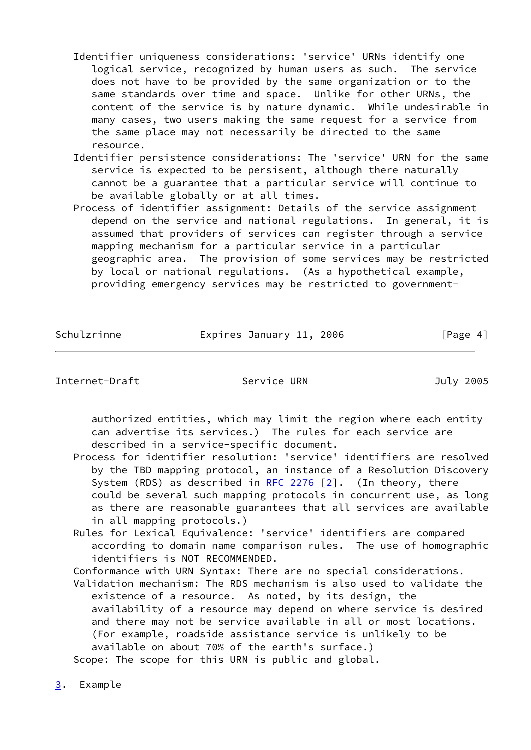- Identifier uniqueness considerations: 'service' URNs identify one logical service, recognized by human users as such. The service does not have to be provided by the same organization or to the same standards over time and space. Unlike for other URNs, the content of the service is by nature dynamic. While undesirable in many cases, two users making the same request for a service from the same place may not necessarily be directed to the same resource.
- Identifier persistence considerations: The 'service' URN for the same service is expected to be persisent, although there naturally cannot be a guarantee that a particular service will continue to be available globally or at all times.
- Process of identifier assignment: Details of the service assignment depend on the service and national regulations. In general, it is assumed that providers of services can register through a service mapping mechanism for a particular service in a particular geographic area. The provision of some services may be restricted by local or national regulations. (As a hypothetical example, providing emergency services may be restricted to government-

Schulzrinne Expires January 11, 2006 [Page 4]

<span id="page-4-1"></span>Internet-Draft Service URN July 2005

 authorized entities, which may limit the region where each entity can advertise its services.) The rules for each service are described in a service-specific document.

- Process for identifier resolution: 'service' identifiers are resolved by the TBD mapping protocol, an instance of a Resolution Discovery System (RDS) as described in  $RFC$  2276  $[2]$ . (In theory, there could be several such mapping protocols in concurrent use, as long as there are reasonable guarantees that all services are available in all mapping protocols.)
- Rules for Lexical Equivalence: 'service' identifiers are compared according to domain name comparison rules. The use of homographic identifiers is NOT RECOMMENDED.
- Conformance with URN Syntax: There are no special considerations. Validation mechanism: The RDS mechanism is also used to validate the
- existence of a resource. As noted, by its design, the availability of a resource may depend on where service is desired and there may not be service available in all or most locations. (For example, roadside assistance service is unlikely to be available on about 70% of the earth's surface.)

Scope: The scope for this URN is public and global.

<span id="page-4-0"></span>[3](#page-4-0). Example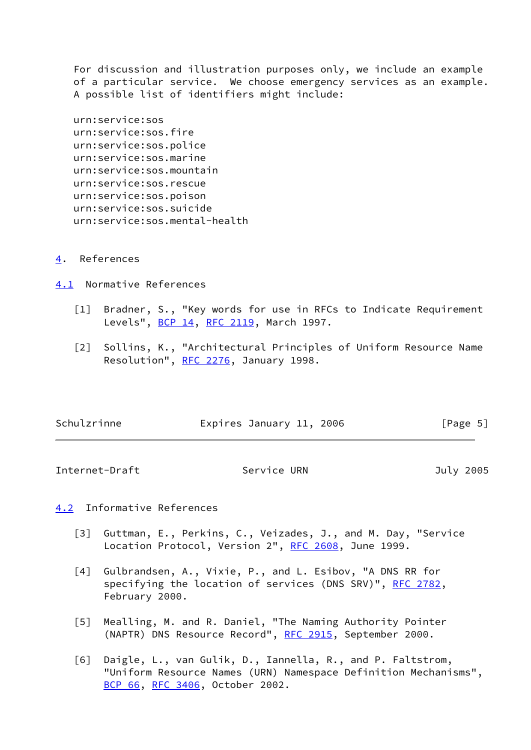For discussion and illustration purposes only, we include an example of a particular service. We choose emergency services as an example. A possible list of identifiers might include:

 urn:service:sos urn:service:sos.fire urn:service:sos.police urn:service:sos.marine urn:service:sos.mountain urn:service:sos.rescue urn:service:sos.poison urn:service:sos.suicide urn:service:sos.mental-health

<span id="page-5-0"></span>[4](#page-5-0). References

<span id="page-5-1"></span>[4.1](#page-5-1) Normative References

- [1] Bradner, S., "Key words for use in RFCs to Indicate Requirement Levels", [BCP 14](https://datatracker.ietf.org/doc/pdf/bcp14), [RFC 2119](https://datatracker.ietf.org/doc/pdf/rfc2119), March 1997.
- <span id="page-5-8"></span> [2] Sollins, K., "Architectural Principles of Uniform Resource Name Resolution", [RFC 2276](https://datatracker.ietf.org/doc/pdf/rfc2276), January 1998.

| Schulzrinne | Expires January 11, 2006 |  | [Page 5] |  |
|-------------|--------------------------|--|----------|--|
|             |                          |  |          |  |

<span id="page-5-3"></span>Internet-Draft Service URN July 2005

# <span id="page-5-2"></span>[4.2](#page-5-2) Informative References

- <span id="page-5-6"></span> [3] Guttman, E., Perkins, C., Veizades, J., and M. Day, "Service Location Protocol, Version 2", [RFC 2608,](https://datatracker.ietf.org/doc/pdf/rfc2608) June 1999.
- <span id="page-5-4"></span> [4] Gulbrandsen, A., Vixie, P., and L. Esibov, "A DNS RR for specifying the location of services (DNS SRV)", [RFC 2782](https://datatracker.ietf.org/doc/pdf/rfc2782), February 2000.
- <span id="page-5-5"></span> [5] Mealling, M. and R. Daniel, "The Naming Authority Pointer (NAPTR) DNS Resource Record", [RFC 2915,](https://datatracker.ietf.org/doc/pdf/rfc2915) September 2000.
- <span id="page-5-7"></span> [6] Daigle, L., van Gulik, D., Iannella, R., and P. Faltstrom, "Uniform Resource Names (URN) Namespace Definition Mechanisms", [BCP 66](https://datatracker.ietf.org/doc/pdf/bcp66), [RFC 3406](https://datatracker.ietf.org/doc/pdf/rfc3406), October 2002.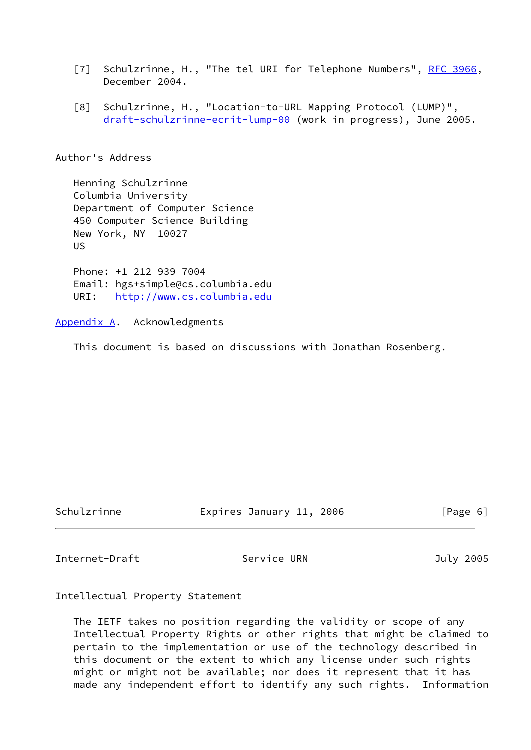- <span id="page-6-2"></span>[7] Schulzrinne, H., "The tel URI for Telephone Numbers", [RFC 3966,](https://datatracker.ietf.org/doc/pdf/rfc3966) December 2004.
- <span id="page-6-3"></span> [8] Schulzrinne, H., "Location-to-URL Mapping Protocol (LUMP)", [draft-schulzrinne-ecrit-lump-00](https://datatracker.ietf.org/doc/pdf/draft-schulzrinne-ecrit-lump-00) (work in progress), June 2005.

Author's Address

 Henning Schulzrinne Columbia University Department of Computer Science 450 Computer Science Building New York, NY 10027 US Phone: +1 212 939 7004

 Email: hgs+simple@cs.columbia.edu URI: <http://www.cs.columbia.edu>

### <span id="page-6-0"></span>[Appendix A.](#page-6-0) Acknowledgments

This document is based on discussions with Jonathan Rosenberg.

Schulzrinne Expires January 11, 2006 [Page 6]

<span id="page-6-1"></span>Internet-Draft Service URN July 2005

Intellectual Property Statement

 The IETF takes no position regarding the validity or scope of any Intellectual Property Rights or other rights that might be claimed to pertain to the implementation or use of the technology described in this document or the extent to which any license under such rights might or might not be available; nor does it represent that it has made any independent effort to identify any such rights. Information